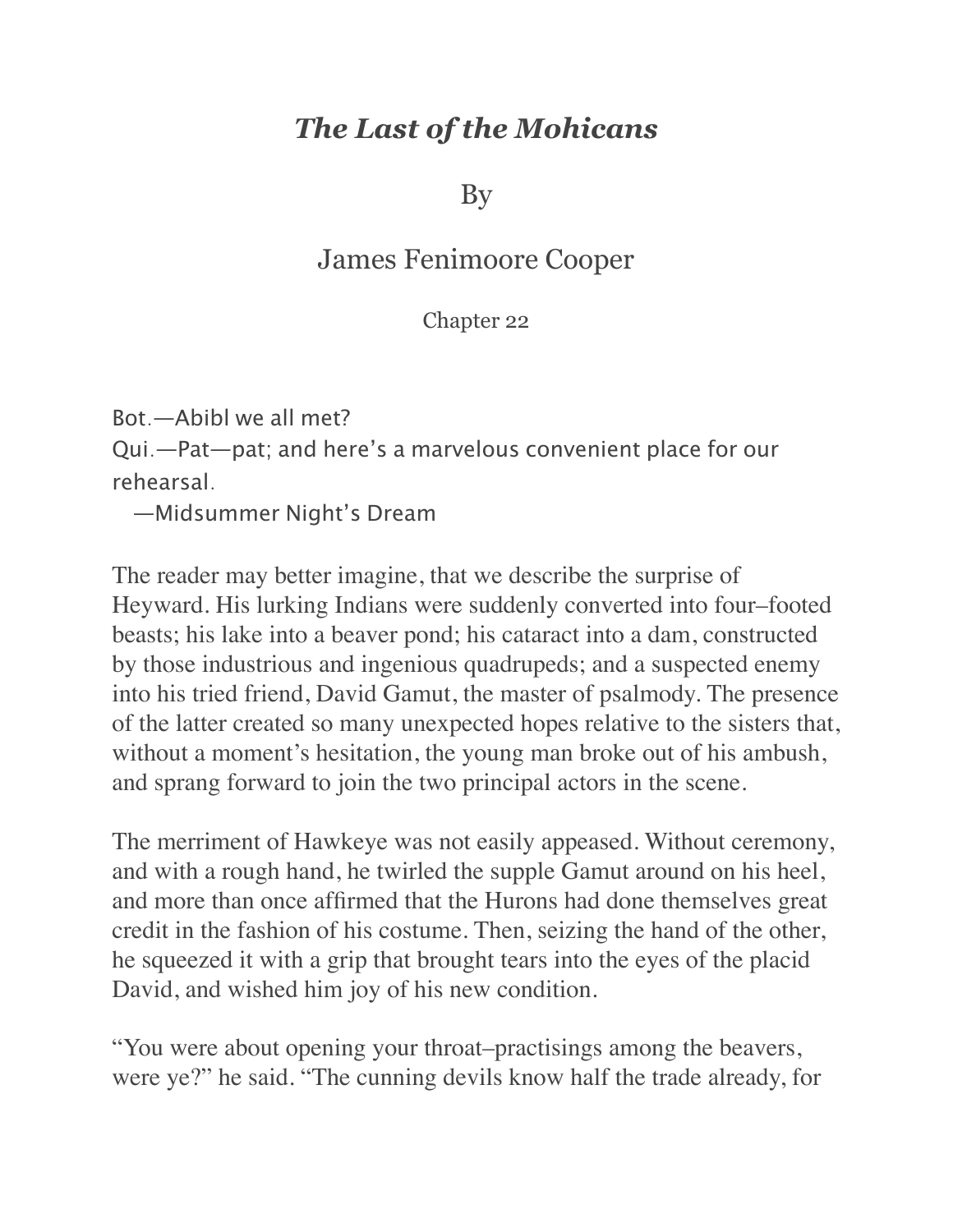## *The Last of the Mohicans*

By

## James Fenimoore Cooper

## Chapter 22

Bot.—Abibl we all met?

Qui.—Pat—pat; and here's a marvelous convenient place for our rehearsal.

—Midsummer Night's Dream

The reader may better imagine, that we describe the surprise of Heyward. His lurking Indians were suddenly converted into four–footed beasts; his lake into a beaver pond; his cataract into a dam, constructed by those industrious and ingenious quadrupeds; and a suspected enemy into his tried friend, David Gamut, the master of psalmody. The presence of the latter created so many unexpected hopes relative to the sisters that, without a moment's hesitation, the young man broke out of his ambush, and sprang forward to join the two principal actors in the scene.

The merriment of Hawkeye was not easily appeased. Without ceremony, and with a rough hand, he twirled the supple Gamut around on his heel, and more than once affirmed that the Hurons had done themselves great credit in the fashion of his costume. Then, seizing the hand of the other, he squeezed it with a grip that brought tears into the eyes of the placid David, and wished him joy of his new condition.

"You were about opening your throat–practisings among the beavers, were ye?" he said. "The cunning devils know half the trade already, for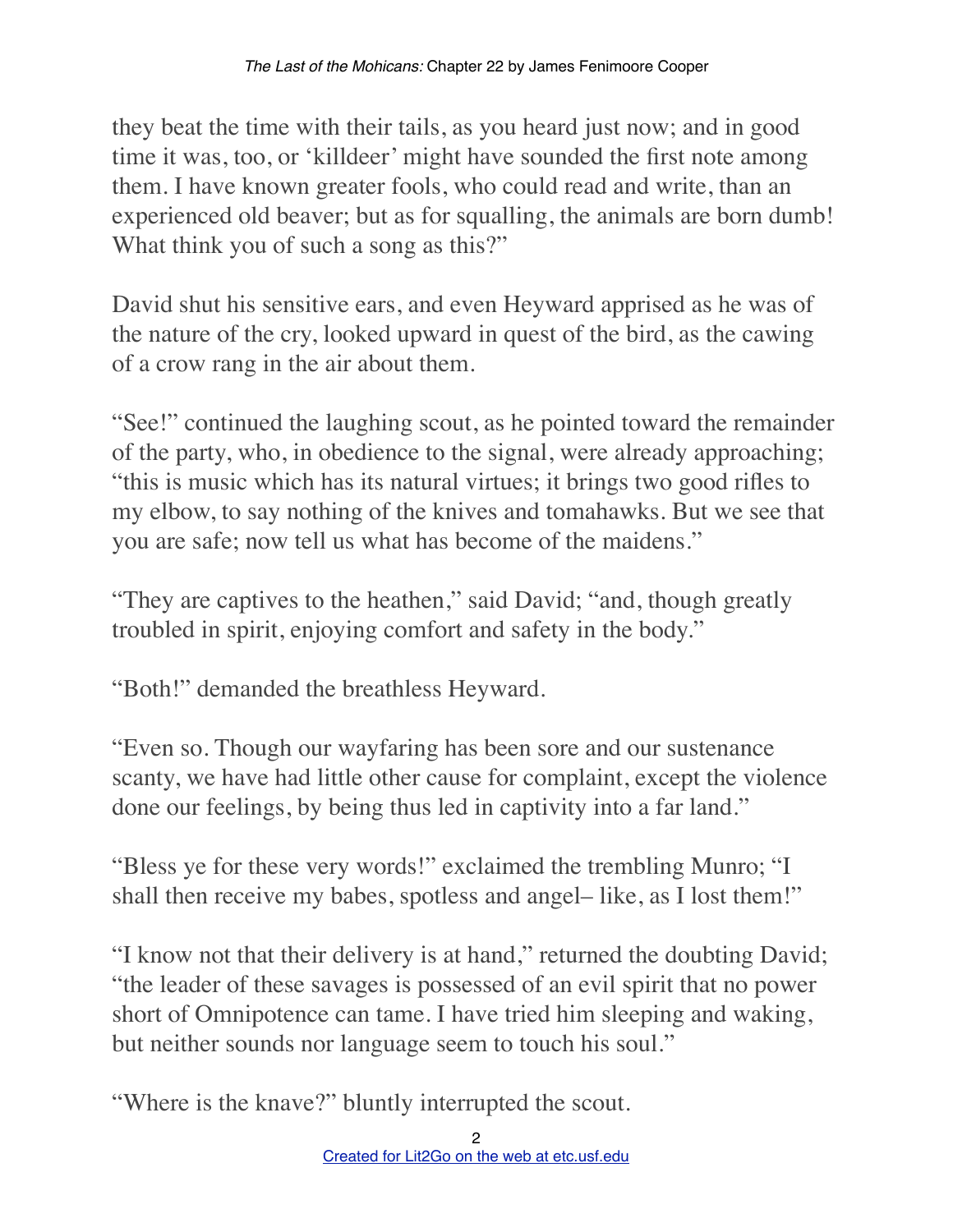they beat the time with their tails, as you heard just now; and in good time it was, too, or 'killdeer' might have sounded the first note among them. I have known greater fools, who could read and write, than an experienced old beaver; but as for squalling, the animals are born dumb! What think you of such a song as this?"

David shut his sensitive ears, and even Heyward apprised as he was of the nature of the cry, looked upward in quest of the bird, as the cawing of a crow rang in the air about them.

"See!" continued the laughing scout, as he pointed toward the remainder of the party, who, in obedience to the signal, were already approaching; "this is music which has its natural virtues; it brings two good rifles to my elbow, to say nothing of the knives and tomahawks. But we see that you are safe; now tell us what has become of the maidens."

"They are captives to the heathen," said David; "and, though greatly troubled in spirit, enjoying comfort and safety in the body."

"Both!" demanded the breathless Heyward.

"Even so. Though our wayfaring has been sore and our sustenance scanty, we have had little other cause for complaint, except the violence done our feelings, by being thus led in captivity into a far land."

"Bless ye for these very words!" exclaimed the trembling Munro; "I shall then receive my babes, spotless and angel– like, as I lost them!"

"I know not that their delivery is at hand," returned the doubting David; "the leader of these savages is possessed of an evil spirit that no power short of Omnipotence can tame. I have tried him sleeping and waking, but neither sounds nor language seem to touch his soul."

"Where is the knave?" bluntly interrupted the scout.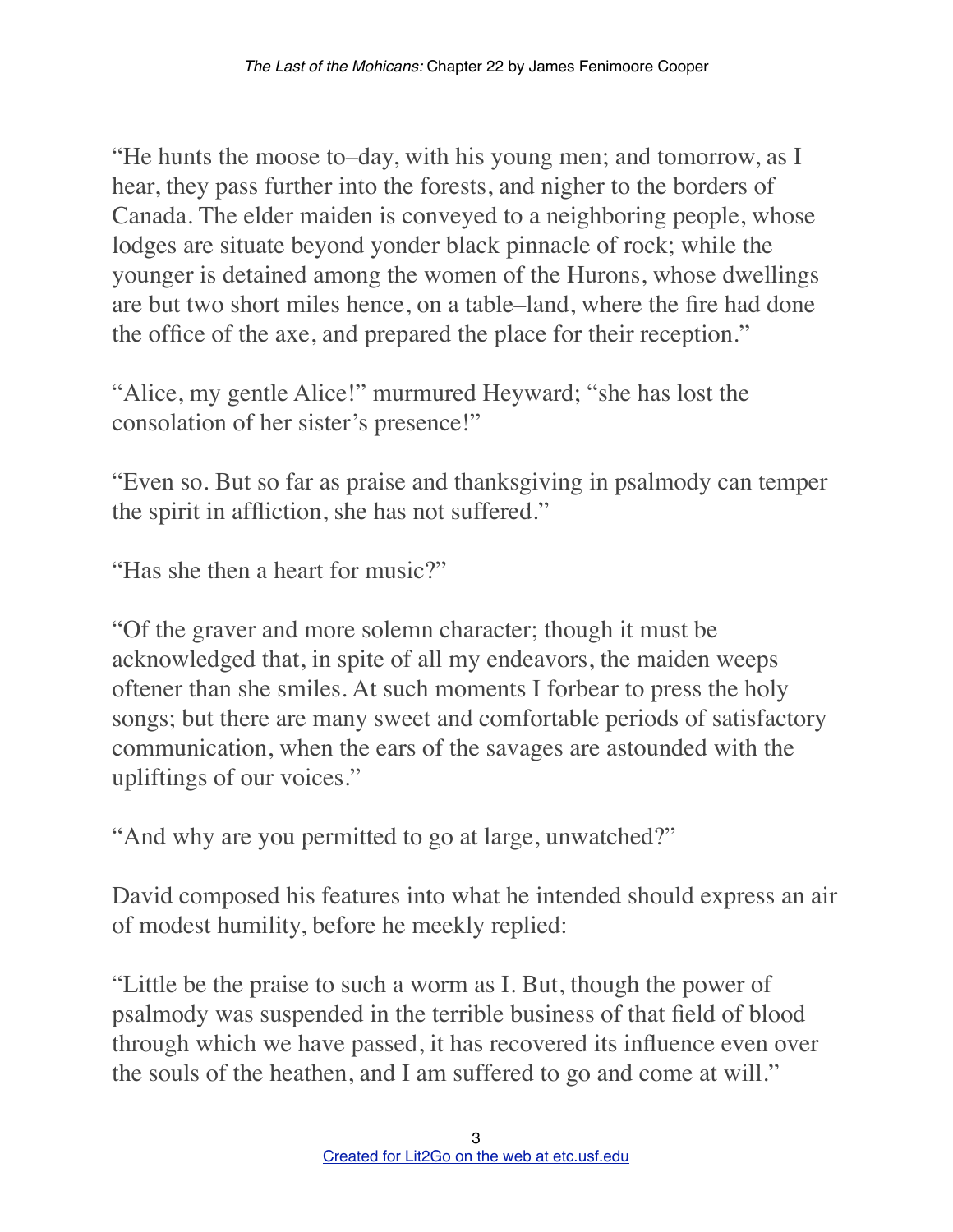"He hunts the moose to–day, with his young men; and tomorrow, as I hear, they pass further into the forests, and nigher to the borders of Canada. The elder maiden is conveyed to a neighboring people, whose lodges are situate beyond yonder black pinnacle of rock; while the younger is detained among the women of the Hurons, whose dwellings are but two short miles hence, on a table–land, where the fire had done the office of the axe, and prepared the place for their reception."

"Alice, my gentle Alice!" murmured Heyward; "she has lost the consolation of her sister's presence!"

"Even so. But so far as praise and thanksgiving in psalmody can temper the spirit in affliction, she has not suffered."

"Has she then a heart for music?"

"Of the graver and more solemn character; though it must be acknowledged that, in spite of all my endeavors, the maiden weeps oftener than she smiles. At such moments I forbear to press the holy songs; but there are many sweet and comfortable periods of satisfactory communication, when the ears of the savages are astounded with the upliftings of our voices."

"And why are you permitted to go at large, unwatched?"

David composed his features into what he intended should express an air of modest humility, before he meekly replied:

"Little be the praise to such a worm as I. But, though the power of psalmody was suspended in the terrible business of that field of blood through which we have passed, it has recovered its influence even over the souls of the heathen, and I am suffered to go and come at will."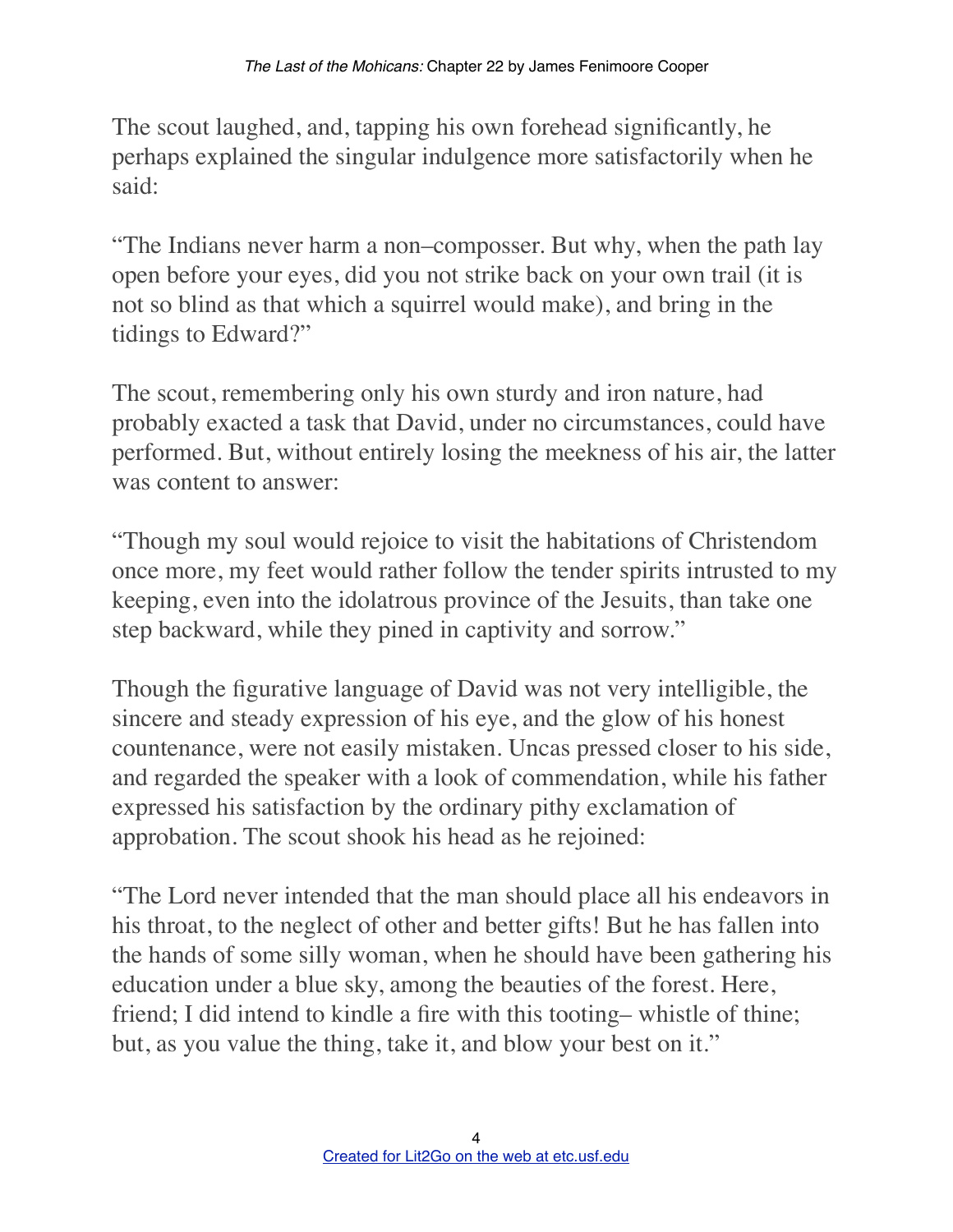The scout laughed, and, tapping his own forehead significantly, he perhaps explained the singular indulgence more satisfactorily when he said:

"The Indians never harm a non–composser. But why, when the path lay open before your eyes, did you not strike back on your own trail (it is not so blind as that which a squirrel would make), and bring in the tidings to Edward?"

The scout, remembering only his own sturdy and iron nature, had probably exacted a task that David, under no circumstances, could have performed. But, without entirely losing the meekness of his air, the latter was content to answer:

"Though my soul would rejoice to visit the habitations of Christendom once more, my feet would rather follow the tender spirits intrusted to my keeping, even into the idolatrous province of the Jesuits, than take one step backward, while they pined in captivity and sorrow."

Though the figurative language of David was not very intelligible, the sincere and steady expression of his eye, and the glow of his honest countenance, were not easily mistaken. Uncas pressed closer to his side, and regarded the speaker with a look of commendation, while his father expressed his satisfaction by the ordinary pithy exclamation of approbation. The scout shook his head as he rejoined:

"The Lord never intended that the man should place all his endeavors in his throat, to the neglect of other and better gifts! But he has fallen into the hands of some silly woman, when he should have been gathering his education under a blue sky, among the beauties of the forest. Here, friend; I did intend to kindle a fire with this tooting– whistle of thine; but, as you value the thing, take it, and blow your best on it."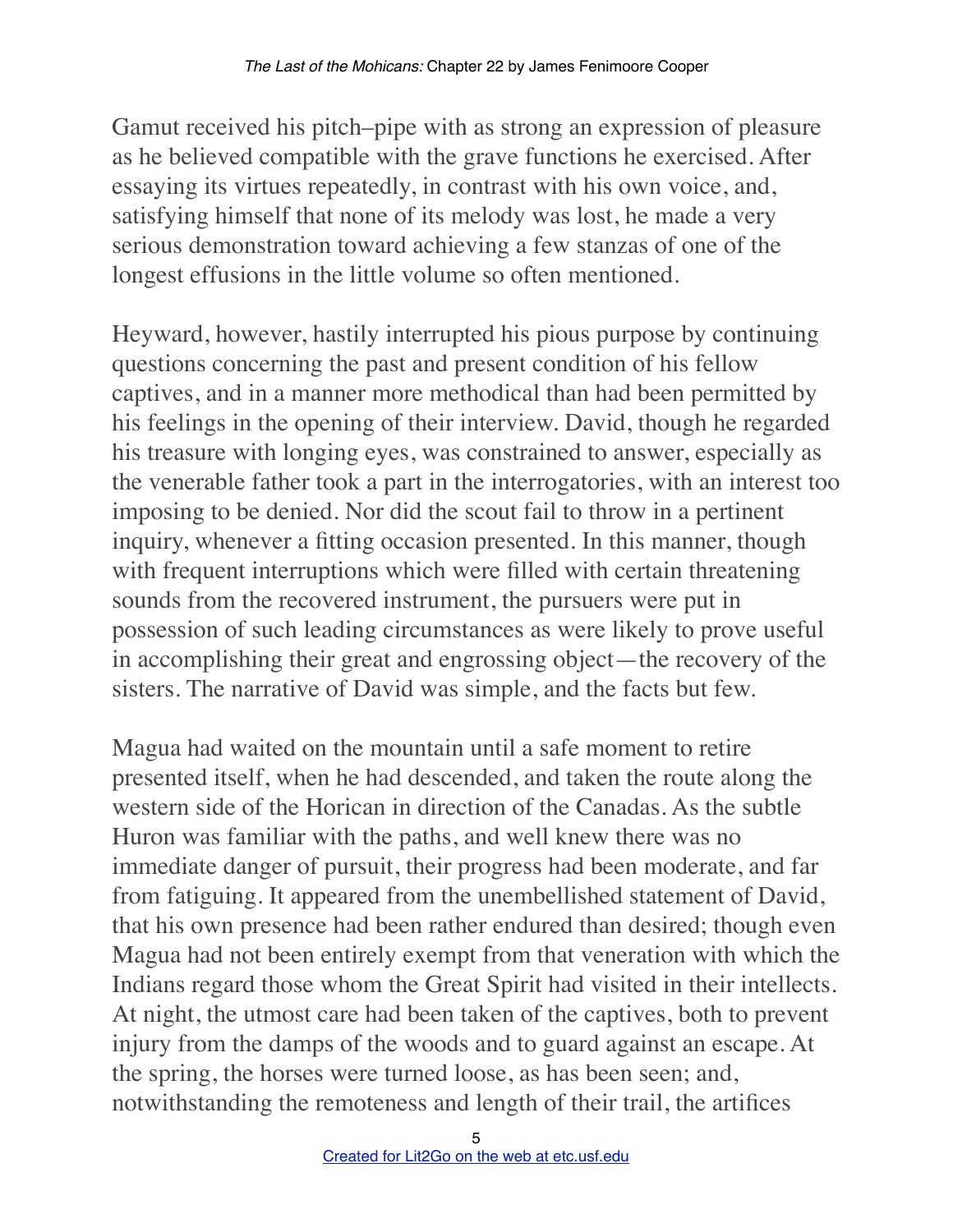Gamut received his pitch–pipe with as strong an expression of pleasure as he believed compatible with the grave functions he exercised. After essaying its virtues repeatedly, in contrast with his own voice, and, satisfying himself that none of its melody was lost, he made a very serious demonstration toward achieving a few stanzas of one of the longest effusions in the little volume so often mentioned.

Heyward, however, hastily interrupted his pious purpose by continuing questions concerning the past and present condition of his fellow captives, and in a manner more methodical than had been permitted by his feelings in the opening of their interview. David, though he regarded his treasure with longing eyes, was constrained to answer, especially as the venerable father took a part in the interrogatories, with an interest too imposing to be denied. Nor did the scout fail to throw in a pertinent inquiry, whenever a fitting occasion presented. In this manner, though with frequent interruptions which were filled with certain threatening sounds from the recovered instrument, the pursuers were put in possession of such leading circumstances as were likely to prove useful in accomplishing their great and engrossing object—the recovery of the sisters. The narrative of David was simple, and the facts but few.

Magua had waited on the mountain until a safe moment to retire presented itself, when he had descended, and taken the route along the western side of the Horican in direction of the Canadas. As the subtle Huron was familiar with the paths, and well knew there was no immediate danger of pursuit, their progress had been moderate, and far from fatiguing. It appeared from the unembellished statement of David, that his own presence had been rather endured than desired; though even Magua had not been entirely exempt from that veneration with which the Indians regard those whom the Great Spirit had visited in their intellects. At night, the utmost care had been taken of the captives, both to prevent injury from the damps of the woods and to guard against an escape. At the spring, the horses were turned loose, as has been seen; and, notwithstanding the remoteness and length of their trail, the artifices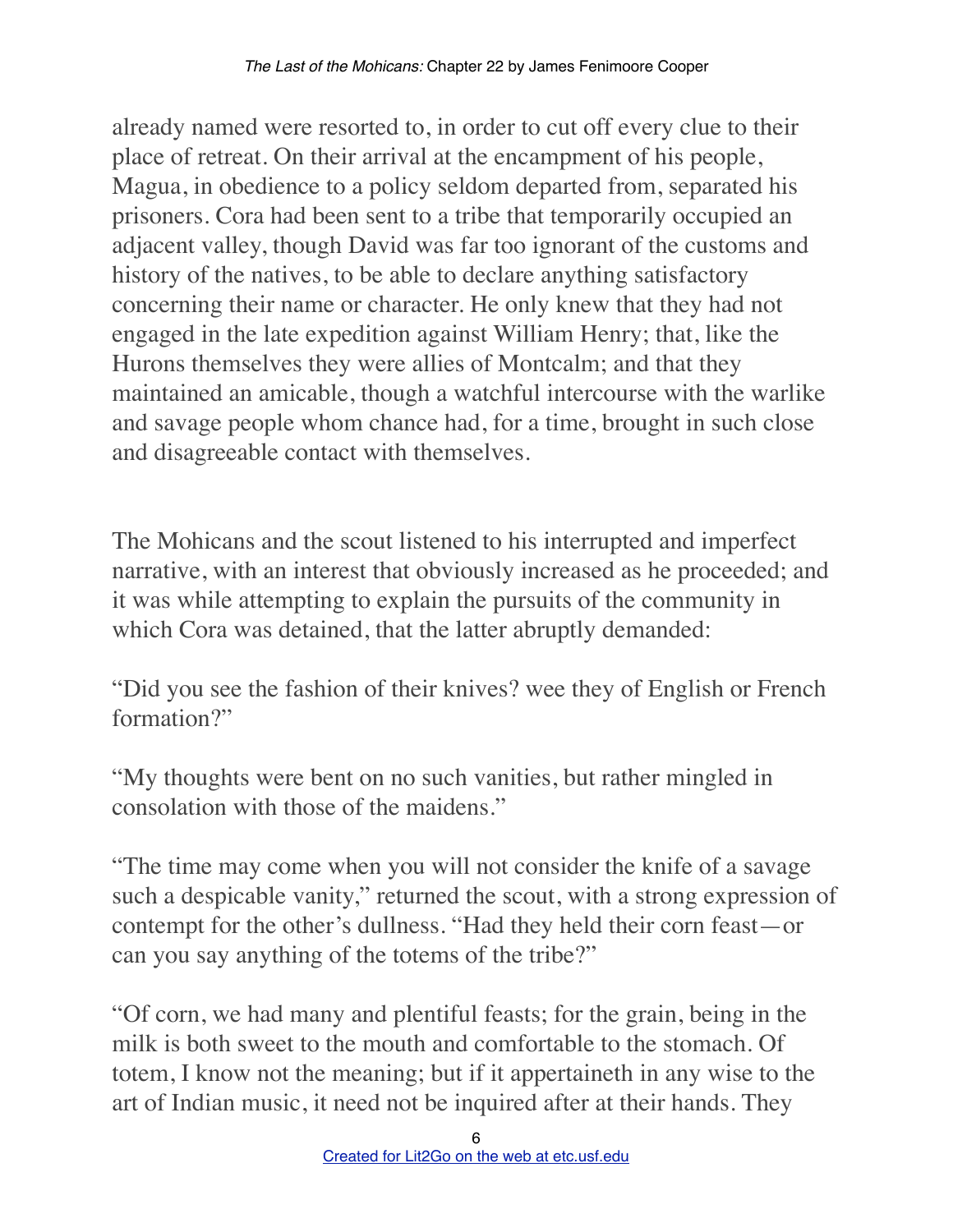already named were resorted to, in order to cut off every clue to their place of retreat. On their arrival at the encampment of his people, Magua, in obedience to a policy seldom departed from, separated his prisoners. Cora had been sent to a tribe that temporarily occupied an adjacent valley, though David was far too ignorant of the customs and history of the natives, to be able to declare anything satisfactory concerning their name or character. He only knew that they had not engaged in the late expedition against William Henry; that, like the Hurons themselves they were allies of Montcalm; and that they maintained an amicable, though a watchful intercourse with the warlike and savage people whom chance had, for a time, brought in such close and disagreeable contact with themselves.

The Mohicans and the scout listened to his interrupted and imperfect narrative, with an interest that obviously increased as he proceeded; and it was while attempting to explain the pursuits of the community in which Cora was detained, that the latter abruptly demanded:

"Did you see the fashion of their knives? wee they of English or French formation?"

"My thoughts were bent on no such vanities, but rather mingled in consolation with those of the maidens."

"The time may come when you will not consider the knife of a savage such a despicable vanity," returned the scout, with a strong expression of contempt for the other's dullness. "Had they held their corn feast—or can you say anything of the totems of the tribe?"

"Of corn, we had many and plentiful feasts; for the grain, being in the milk is both sweet to the mouth and comfortable to the stomach. Of totem, I know not the meaning; but if it appertaineth in any wise to the art of Indian music, it need not be inquired after at their hands. They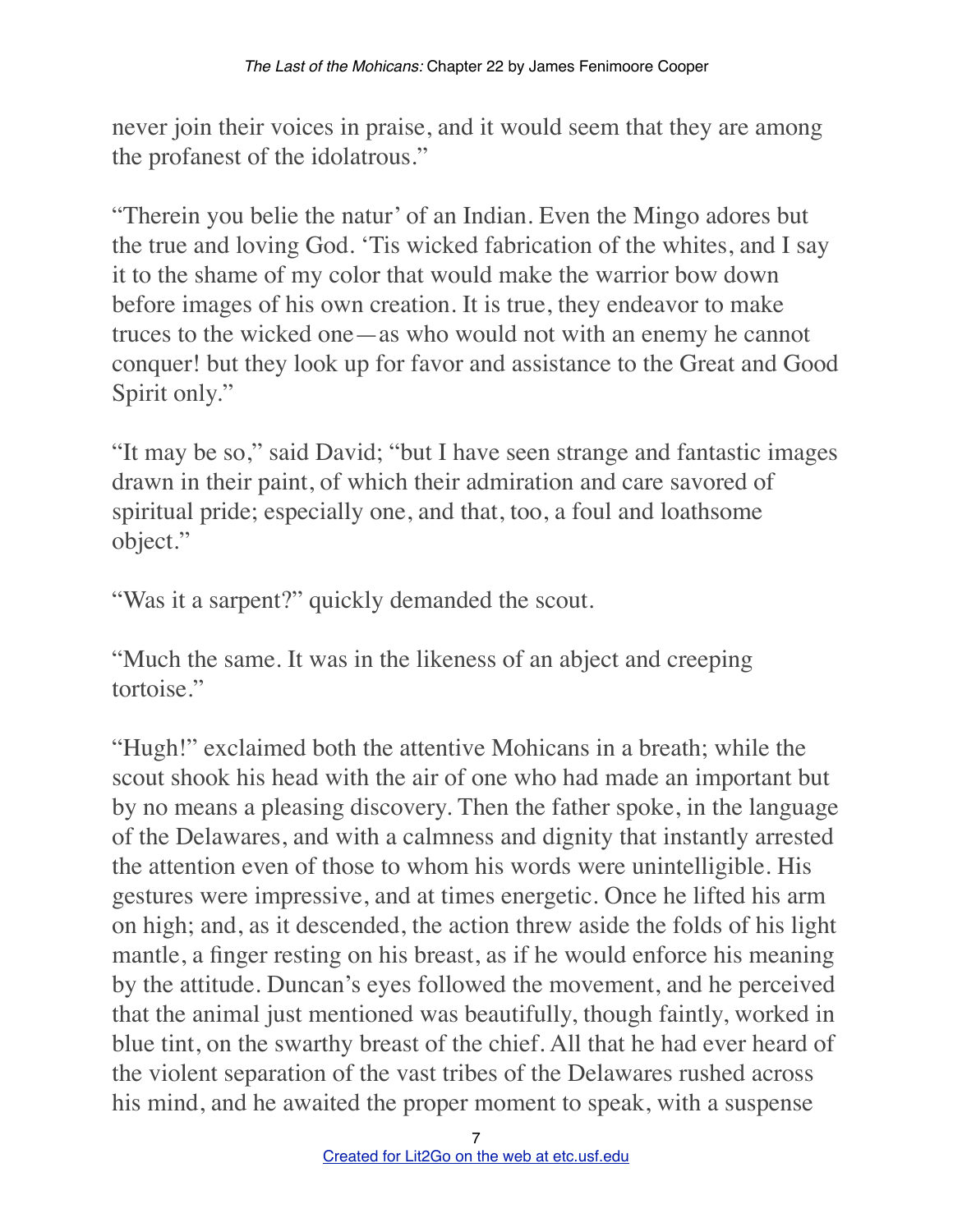never join their voices in praise, and it would seem that they are among the profanest of the idolatrous."

"Therein you belie the natur' of an Indian. Even the Mingo adores but the true and loving God. 'Tis wicked fabrication of the whites, and I say it to the shame of my color that would make the warrior bow down before images of his own creation. It is true, they endeavor to make truces to the wicked one—as who would not with an enemy he cannot conquer! but they look up for favor and assistance to the Great and Good Spirit only."

"It may be so," said David; "but I have seen strange and fantastic images drawn in their paint, of which their admiration and care savored of spiritual pride; especially one, and that, too, a foul and loathsome object."

"Was it a sarpent?" quickly demanded the scout.

"Much the same. It was in the likeness of an abject and creeping tortoise."

"Hugh!" exclaimed both the attentive Mohicans in a breath; while the scout shook his head with the air of one who had made an important but by no means a pleasing discovery. Then the father spoke, in the language of the Delawares, and with a calmness and dignity that instantly arrested the attention even of those to whom his words were unintelligible. His gestures were impressive, and at times energetic. Once he lifted his arm on high; and, as it descended, the action threw aside the folds of his light mantle, a finger resting on his breast, as if he would enforce his meaning by the attitude. Duncan's eyes followed the movement, and he perceived that the animal just mentioned was beautifully, though faintly, worked in blue tint, on the swarthy breast of the chief. All that he had ever heard of the violent separation of the vast tribes of the Delawares rushed across his mind, and he awaited the proper moment to speak, with a suspense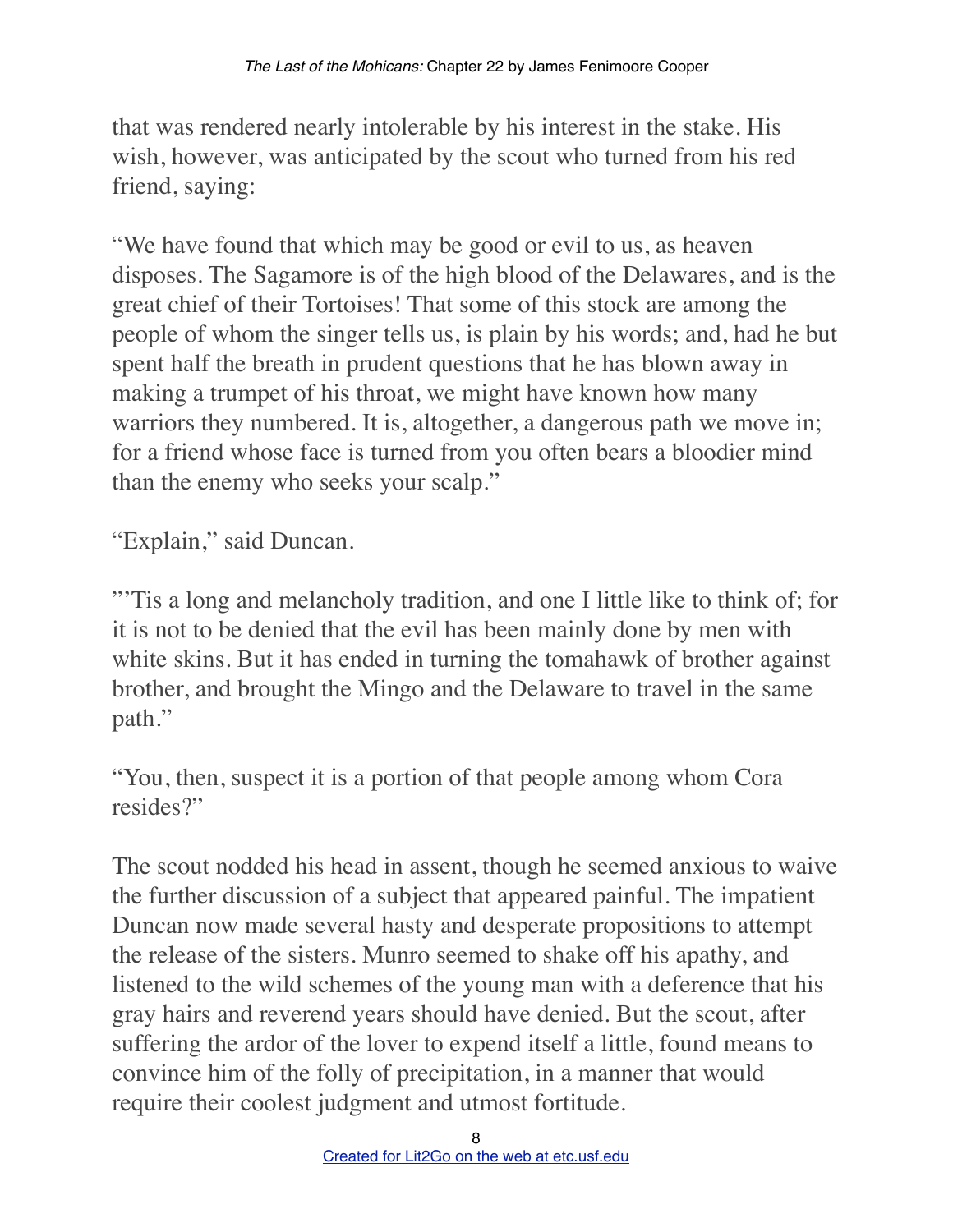that was rendered nearly intolerable by his interest in the stake. His wish, however, was anticipated by the scout who turned from his red friend, saying:

"We have found that which may be good or evil to us, as heaven disposes. The Sagamore is of the high blood of the Delawares, and is the great chief of their Tortoises! That some of this stock are among the people of whom the singer tells us, is plain by his words; and, had he but spent half the breath in prudent questions that he has blown away in making a trumpet of his throat, we might have known how many warriors they numbered. It is, altogether, a dangerous path we move in; for a friend whose face is turned from you often bears a bloodier mind than the enemy who seeks your scalp."

"Explain," said Duncan.

"'Tis a long and melancholy tradition, and one I little like to think of; for it is not to be denied that the evil has been mainly done by men with white skins. But it has ended in turning the tomahawk of brother against brother, and brought the Mingo and the Delaware to travel in the same path."

"You, then, suspect it is a portion of that people among whom Cora resides?"

The scout nodded his head in assent, though he seemed anxious to waive the further discussion of a subject that appeared painful. The impatient Duncan now made several hasty and desperate propositions to attempt the release of the sisters. Munro seemed to shake off his apathy, and listened to the wild schemes of the young man with a deference that his gray hairs and reverend years should have denied. But the scout, after suffering the ardor of the lover to expend itself a little, found means to convince him of the folly of precipitation, in a manner that would require their coolest judgment and utmost fortitude.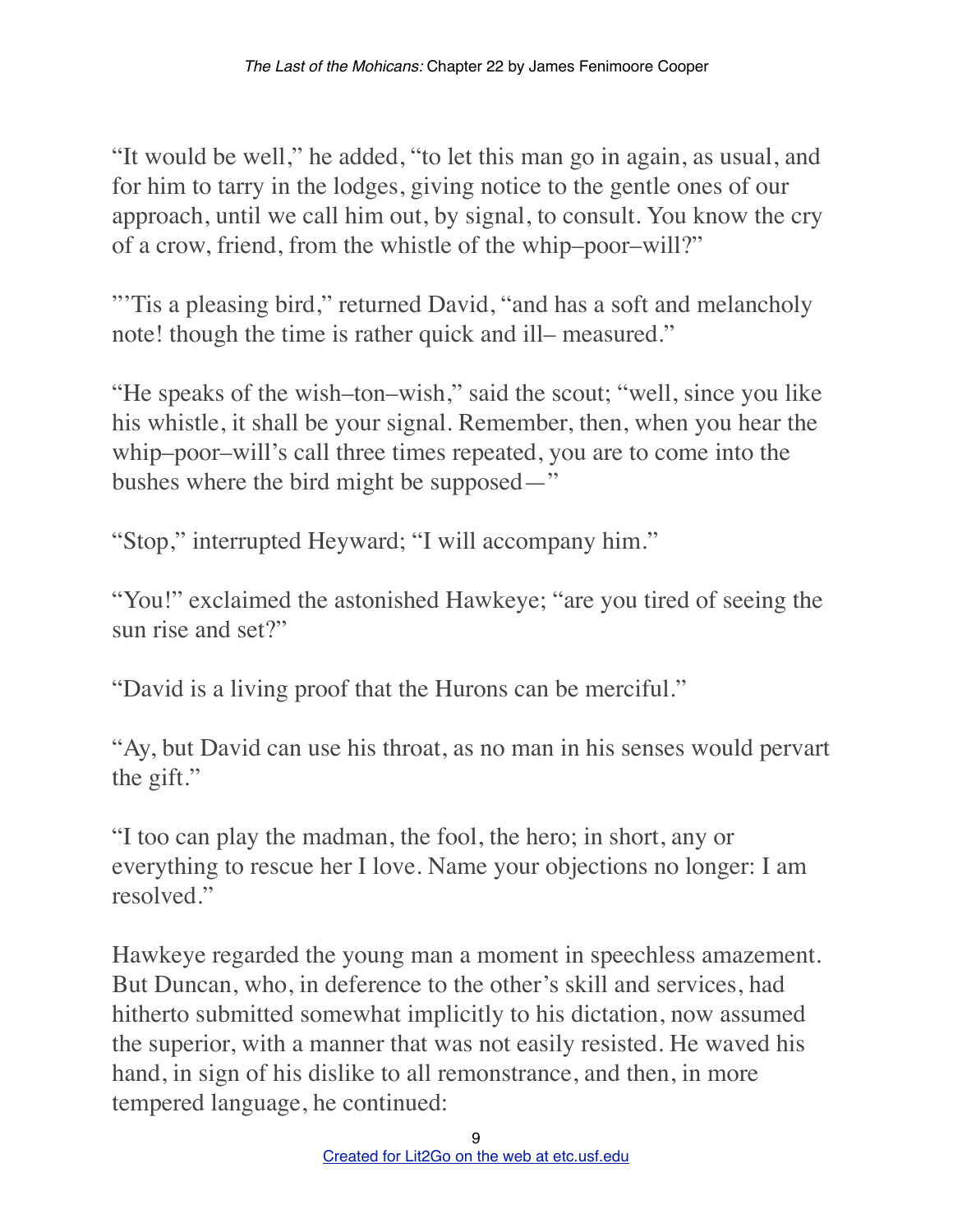"It would be well," he added, "to let this man go in again, as usual, and for him to tarry in the lodges, giving notice to the gentle ones of our approach, until we call him out, by signal, to consult. You know the cry of a crow, friend, from the whistle of the whip–poor–will?"

"Tis a pleasing bird," returned David, "and has a soft and melancholy" note! though the time is rather quick and ill– measured."

"He speaks of the wish–ton–wish," said the scout; "well, since you like his whistle, it shall be your signal. Remember, then, when you hear the whip–poor–will's call three times repeated, you are to come into the bushes where the bird might be supposed—"

"Stop," interrupted Heyward; "I will accompany him."

"You!" exclaimed the astonished Hawkeye; "are you tired of seeing the sun rise and set?"

"David is a living proof that the Hurons can be merciful."

"Ay, but David can use his throat, as no man in his senses would pervart the gift."

"I too can play the madman, the fool, the hero; in short, any or everything to rescue her I love. Name your objections no longer: I am resolved."

Hawkeye regarded the young man a moment in speechless amazement. But Duncan, who, in deference to the other's skill and services, had hitherto submitted somewhat implicitly to his dictation, now assumed the superior, with a manner that was not easily resisted. He waved his hand, in sign of his dislike to all remonstrance, and then, in more tempered language, he continued: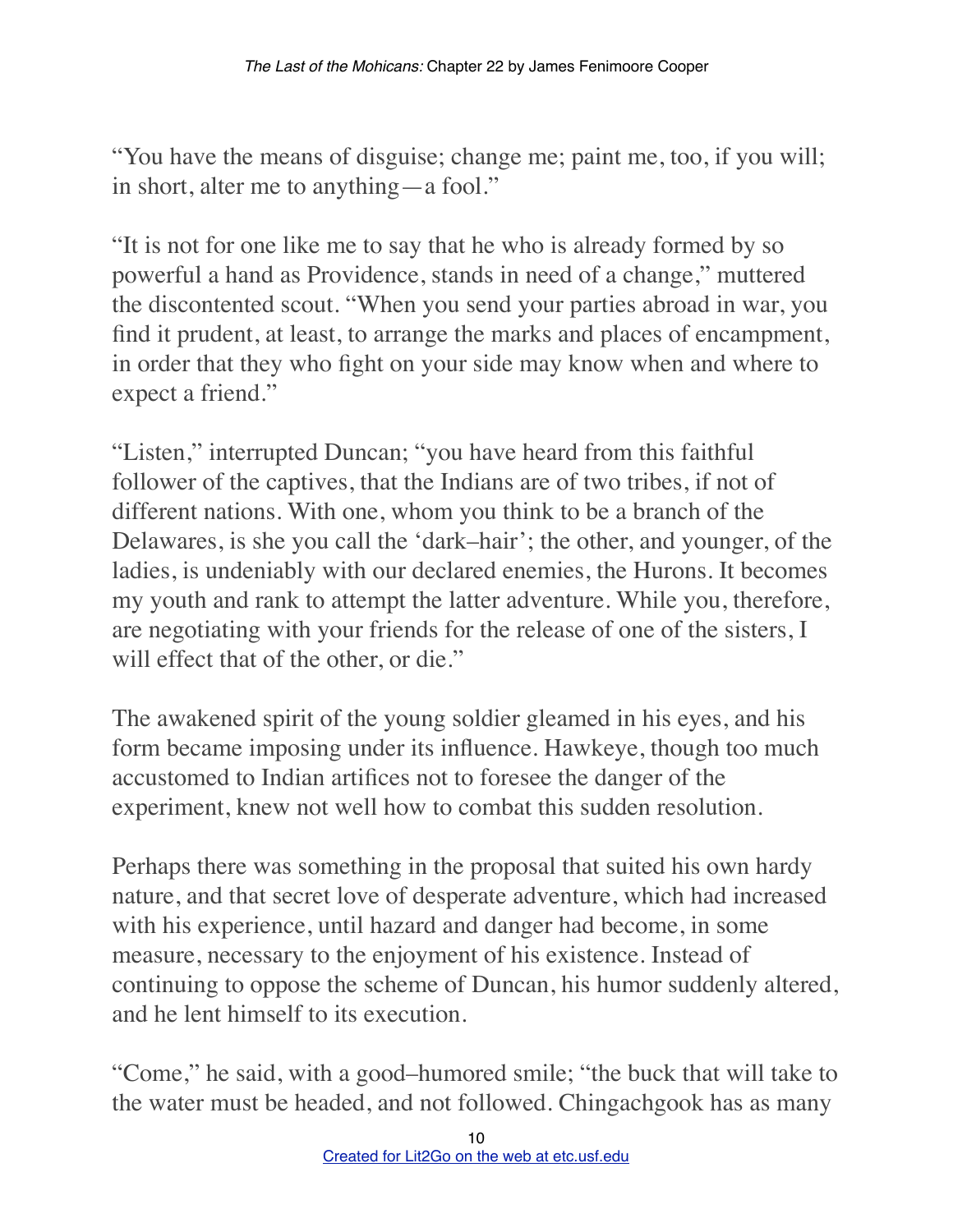"You have the means of disguise; change me; paint me, too, if you will; in short, alter me to anything—a fool."

"It is not for one like me to say that he who is already formed by so powerful a hand as Providence, stands in need of a change," muttered the discontented scout. "When you send your parties abroad in war, you find it prudent, at least, to arrange the marks and places of encampment, in order that they who fight on your side may know when and where to expect a friend."

"Listen," interrupted Duncan; "you have heard from this faithful follower of the captives, that the Indians are of two tribes, if not of different nations. With one, whom you think to be a branch of the Delawares, is she you call the 'dark–hair'; the other, and younger, of the ladies, is undeniably with our declared enemies, the Hurons. It becomes my youth and rank to attempt the latter adventure. While you, therefore, are negotiating with your friends for the release of one of the sisters, I will effect that of the other, or die."

The awakened spirit of the young soldier gleamed in his eyes, and his form became imposing under its influence. Hawkeye, though too much accustomed to Indian artifices not to foresee the danger of the experiment, knew not well how to combat this sudden resolution.

Perhaps there was something in the proposal that suited his own hardy nature, and that secret love of desperate adventure, which had increased with his experience, until hazard and danger had become, in some measure, necessary to the enjoyment of his existence. Instead of continuing to oppose the scheme of Duncan, his humor suddenly altered, and he lent himself to its execution.

"Come," he said, with a good–humored smile; "the buck that will take to the water must be headed, and not followed. Chingachgook has as many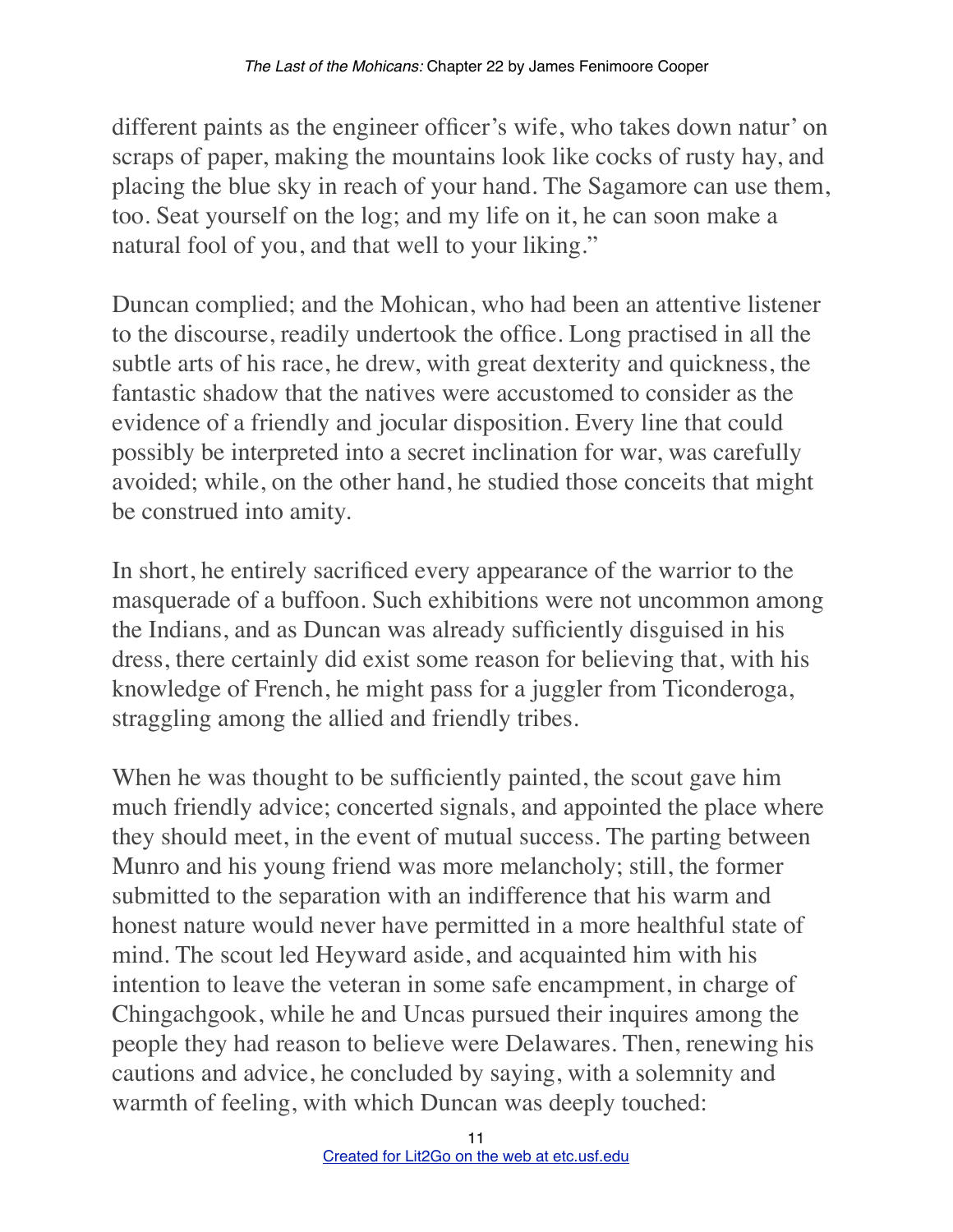different paints as the engineer officer's wife, who takes down natur' on scraps of paper, making the mountains look like cocks of rusty hay, and placing the blue sky in reach of your hand. The Sagamore can use them, too. Seat yourself on the log; and my life on it, he can soon make a natural fool of you, and that well to your liking."

Duncan complied; and the Mohican, who had been an attentive listener to the discourse, readily undertook the office. Long practised in all the subtle arts of his race, he drew, with great dexterity and quickness, the fantastic shadow that the natives were accustomed to consider as the evidence of a friendly and jocular disposition. Every line that could possibly be interpreted into a secret inclination for war, was carefully avoided; while, on the other hand, he studied those conceits that might be construed into amity.

In short, he entirely sacrificed every appearance of the warrior to the masquerade of a buffoon. Such exhibitions were not uncommon among the Indians, and as Duncan was already sufficiently disguised in his dress, there certainly did exist some reason for believing that, with his knowledge of French, he might pass for a juggler from Ticonderoga, straggling among the allied and friendly tribes.

When he was thought to be sufficiently painted, the scout gave him much friendly advice; concerted signals, and appointed the place where they should meet, in the event of mutual success. The parting between Munro and his young friend was more melancholy; still, the former submitted to the separation with an indifference that his warm and honest nature would never have permitted in a more healthful state of mind. The scout led Heyward aside, and acquainted him with his intention to leave the veteran in some safe encampment, in charge of Chingachgook, while he and Uncas pursued their inquires among the people they had reason to believe were Delawares. Then, renewing his cautions and advice, he concluded by saying, with a solemnity and warmth of feeling, with which Duncan was deeply touched: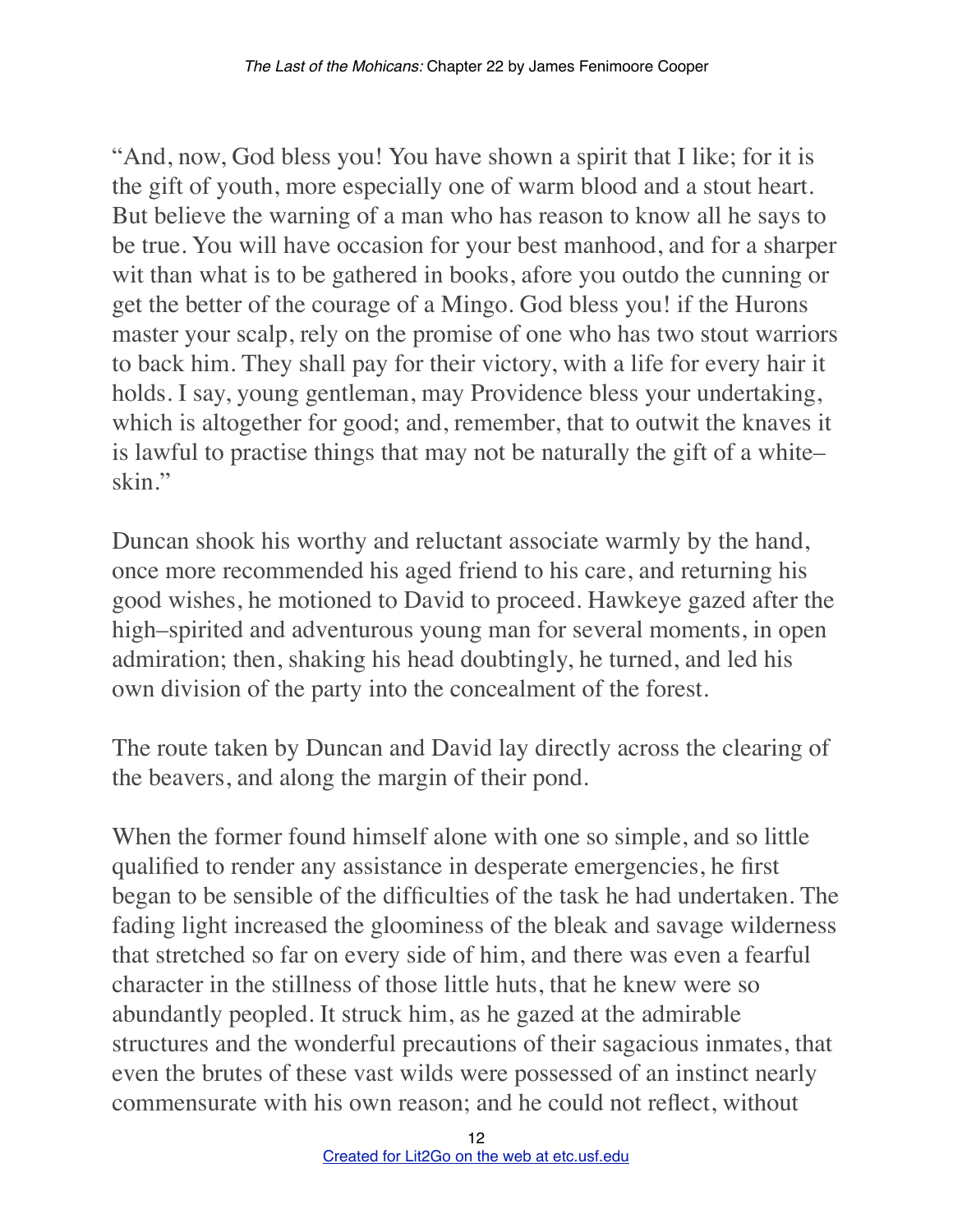"And, now, God bless you! You have shown a spirit that I like; for it is the gift of youth, more especially one of warm blood and a stout heart. But believe the warning of a man who has reason to know all he says to be true. You will have occasion for your best manhood, and for a sharper wit than what is to be gathered in books, afore you outdo the cunning or get the better of the courage of a Mingo. God bless you! if the Hurons master your scalp, rely on the promise of one who has two stout warriors to back him. They shall pay for their victory, with a life for every hair it holds. I say, young gentleman, may Providence bless your undertaking, which is altogether for good; and, remember, that to outwit the knaves it is lawful to practise things that may not be naturally the gift of a white– skin."

Duncan shook his worthy and reluctant associate warmly by the hand, once more recommended his aged friend to his care, and returning his good wishes, he motioned to David to proceed. Hawkeye gazed after the high–spirited and adventurous young man for several moments, in open admiration; then, shaking his head doubtingly, he turned, and led his own division of the party into the concealment of the forest.

The route taken by Duncan and David lay directly across the clearing of the beavers, and along the margin of their pond.

When the former found himself alone with one so simple, and so little qualified to render any assistance in desperate emergencies, he first began to be sensible of the difficulties of the task he had undertaken. The fading light increased the gloominess of the bleak and savage wilderness that stretched so far on every side of him, and there was even a fearful character in the stillness of those little huts, that he knew were so abundantly peopled. It struck him, as he gazed at the admirable structures and the wonderful precautions of their sagacious inmates, that even the brutes of these vast wilds were possessed of an instinct nearly commensurate with his own reason; and he could not reflect, without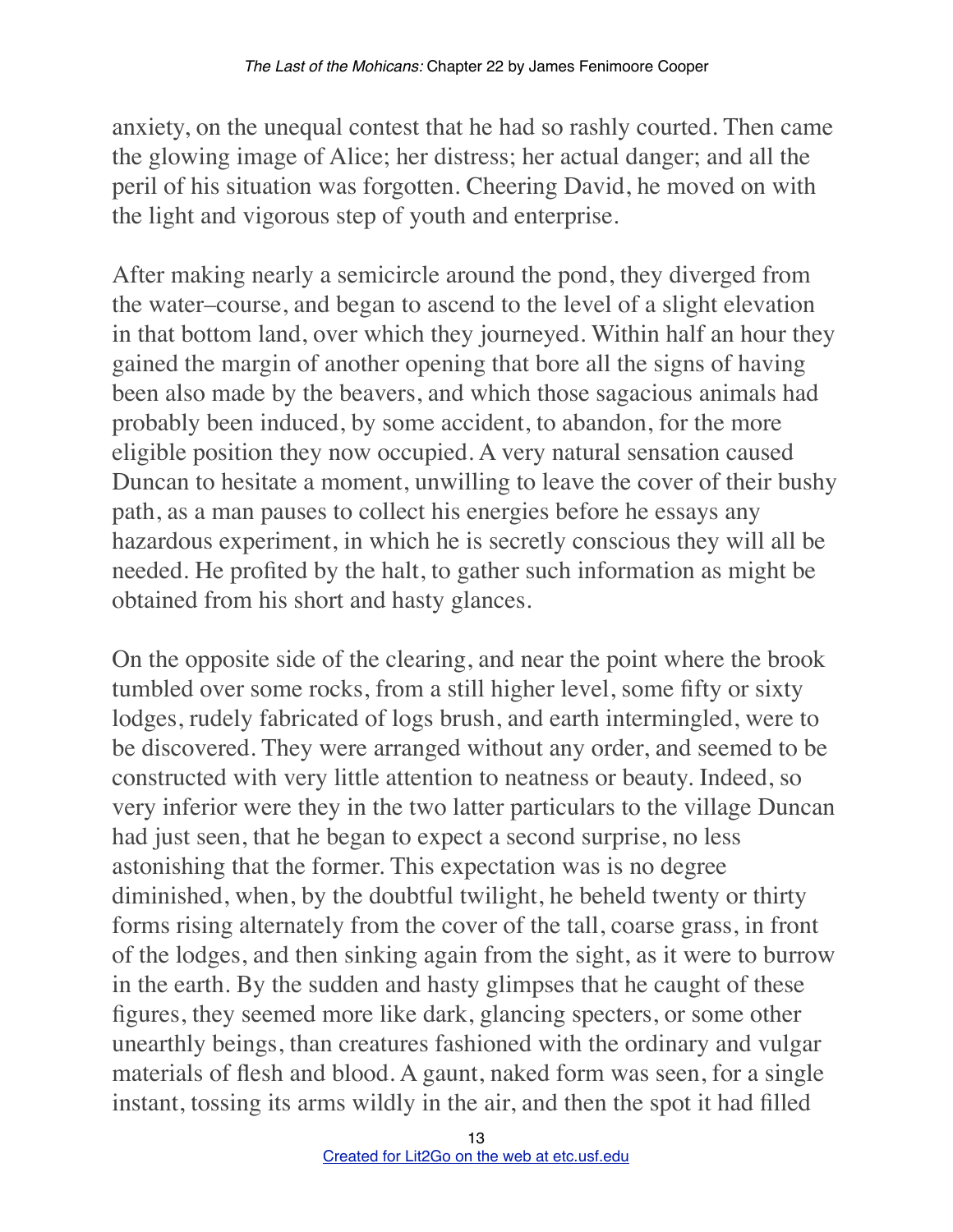anxiety, on the unequal contest that he had so rashly courted. Then came the glowing image of Alice; her distress; her actual danger; and all the peril of his situation was forgotten. Cheering David, he moved on with the light and vigorous step of youth and enterprise.

After making nearly a semicircle around the pond, they diverged from the water–course, and began to ascend to the level of a slight elevation in that bottom land, over which they journeyed. Within half an hour they gained the margin of another opening that bore all the signs of having been also made by the beavers, and which those sagacious animals had probably been induced, by some accident, to abandon, for the more eligible position they now occupied. A very natural sensation caused Duncan to hesitate a moment, unwilling to leave the cover of their bushy path, as a man pauses to collect his energies before he essays any hazardous experiment, in which he is secretly conscious they will all be needed. He profited by the halt, to gather such information as might be obtained from his short and hasty glances.

On the opposite side of the clearing, and near the point where the brook tumbled over some rocks, from a still higher level, some fifty or sixty lodges, rudely fabricated of logs brush, and earth intermingled, were to be discovered. They were arranged without any order, and seemed to be constructed with very little attention to neatness or beauty. Indeed, so very inferior were they in the two latter particulars to the village Duncan had just seen, that he began to expect a second surprise, no less astonishing that the former. This expectation was is no degree diminished, when, by the doubtful twilight, he beheld twenty or thirty forms rising alternately from the cover of the tall, coarse grass, in front of the lodges, and then sinking again from the sight, as it were to burrow in the earth. By the sudden and hasty glimpses that he caught of these figures, they seemed more like dark, glancing specters, or some other unearthly beings, than creatures fashioned with the ordinary and vulgar materials of flesh and blood. A gaunt, naked form was seen, for a single instant, tossing its arms wildly in the air, and then the spot it had filled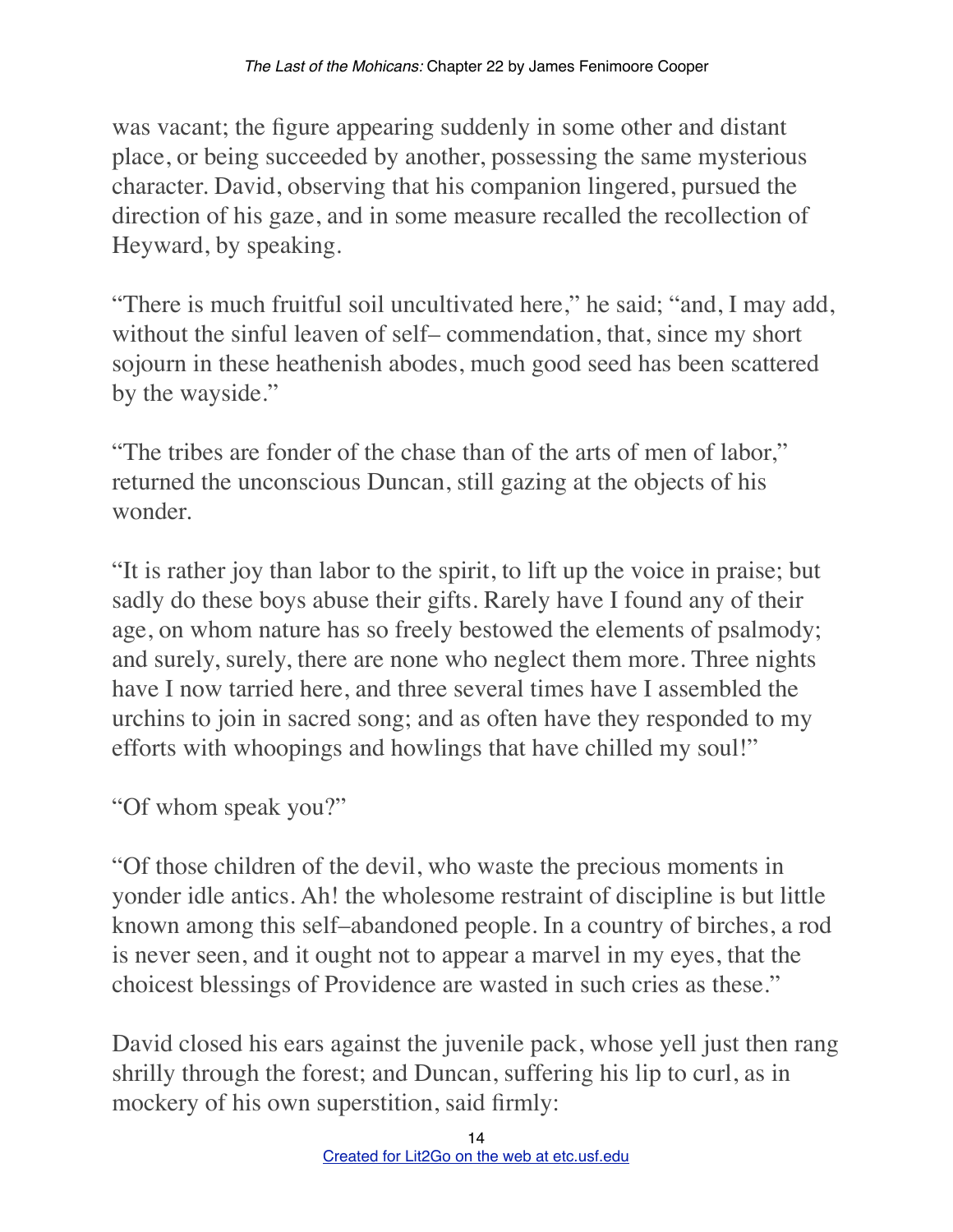was vacant; the figure appearing suddenly in some other and distant place, or being succeeded by another, possessing the same mysterious character. David, observing that his companion lingered, pursued the direction of his gaze, and in some measure recalled the recollection of Heyward, by speaking.

"There is much fruitful soil uncultivated here," he said; "and, I may add, without the sinful leaven of self– commendation, that, since my short sojourn in these heathenish abodes, much good seed has been scattered by the wayside."

"The tribes are fonder of the chase than of the arts of men of labor," returned the unconscious Duncan, still gazing at the objects of his wonder.

"It is rather joy than labor to the spirit, to lift up the voice in praise; but sadly do these boys abuse their gifts. Rarely have I found any of their age, on whom nature has so freely bestowed the elements of psalmody; and surely, surely, there are none who neglect them more. Three nights have I now tarried here, and three several times have I assembled the urchins to join in sacred song; and as often have they responded to my efforts with whoopings and howlings that have chilled my soul!"

"Of whom speak you?"

"Of those children of the devil, who waste the precious moments in yonder idle antics. Ah! the wholesome restraint of discipline is but little known among this self–abandoned people. In a country of birches, a rod is never seen, and it ought not to appear a marvel in my eyes, that the choicest blessings of Providence are wasted in such cries as these."

David closed his ears against the juvenile pack, whose yell just then rang shrilly through the forest; and Duncan, suffering his lip to curl, as in mockery of his own superstition, said firmly: